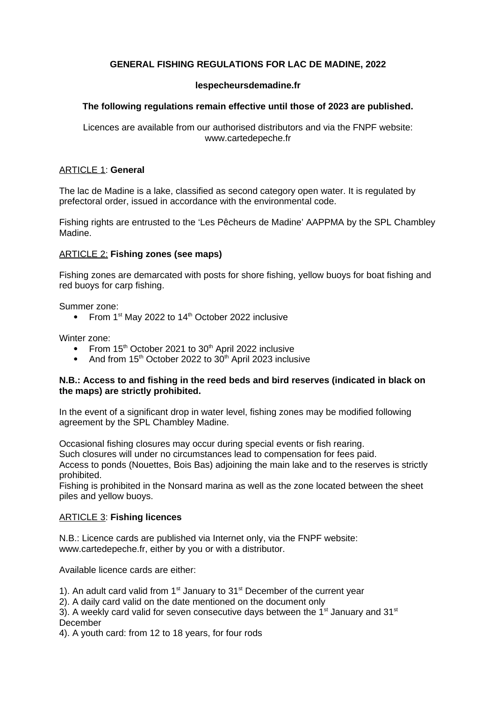# **GENERAL FISHING REGULATIONS FOR LAC DE MADINE, 2022**

### **lespecheursdemadine.fr**

### **The following regulations remain effective until those of 2023 are published.**

Licences are available from our authorised distributors and via the FNPF website: www.cartedepeche.fr

#### ARTICLE 1: **General**

The lac de Madine is a lake, classified as second category open water. It is regulated by prefectoral order, issued in accordance with the environmental code.

Fishing rights are entrusted to the 'Les Pêcheurs de Madine' AAPPMA by the SPL Chambley Madine.

### ARTICLE 2: **Fishing zones (see maps)**

Fishing zones are demarcated with posts for shore fishing, yellow buoys for boat fishing and red buoys for carp fishing.

Summer zone:

From  $1<sup>st</sup>$  May 2022 to  $14<sup>th</sup>$  October 2022 inclusive

Winter zone:

- From  $15<sup>th</sup>$  October 2021 to 30<sup>th</sup> April 2022 inclusive
- And from  $15<sup>th</sup>$  October 2022 to 30<sup>th</sup> April 2023 inclusive

#### **N.B.: Access to and fishing in the reed beds and bird reserves (indicated in black on the maps) are strictly prohibited.**

In the event of a significant drop in water level, fishing zones may be modified following agreement by the SPL Chambley Madine.

Occasional fishing closures may occur during special events or fish rearing.

Such closures will under no circumstances lead to compensation for fees paid.

Access to ponds (Nouettes, Bois Bas) adjoining the main lake and to the reserves is strictly prohibited.

Fishing is prohibited in the Nonsard marina as well as the zone located between the sheet piles and yellow buoys.

## ARTICLE 3: **Fishing licences**

N.B.: Licence cards are published via Internet only, via the FNPF website: www.cartedepeche.fr, either by you or with a distributor.

Available licence cards are either:

1). An adult card valid from  $1<sup>st</sup>$  January to  $31<sup>st</sup>$  December of the current year

2). A daily card valid on the date mentioned on the document only

3). A weekly card valid for seven consecutive days between the  $1<sup>st</sup>$  January and  $31<sup>st</sup>$ December

4). A youth card: from 12 to 18 years, for four rods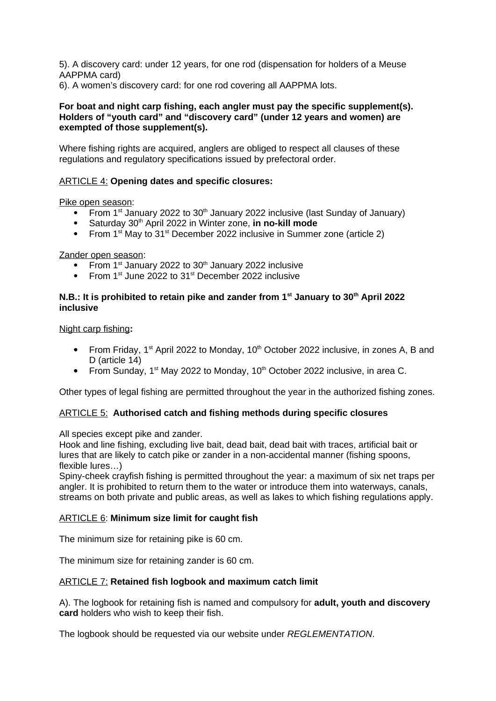5). A discovery card: under 12 years, for one rod (dispensation for holders of a Meuse AAPPMA card)

6). A women's discovery card: for one rod covering all AAPPMA lots.

## **For boat and night carp fishing, each angler must pay the specific supplement(s). Holders of "youth card" and "discovery card" (under 12 years and women) are exempted of those supplement(s).**

Where fishing rights are acquired, anglers are obliged to respect all clauses of these regulations and regulatory specifications issued by prefectoral order.

# ARTICLE 4: **Opening dates and specific closures:**

Pike open season:

- From  $1<sup>st</sup>$  January 2022 to 30<sup>th</sup> January 2022 inclusive (last Sunday of January)
- **Saturday 30<sup>th</sup> April 2022 in Winter zone, in no-kill mode**
- From  $1<sup>st</sup>$  May to  $31<sup>st</sup>$  December 2022 inclusive in Summer zone (article 2)

Zander open season:

- From  $1<sup>st</sup>$  January 2022 to 30<sup>th</sup> January 2022 inclusive
- From  $1<sup>st</sup>$  June 2022 to  $31<sup>st</sup>$  December 2022 inclusive

## **N.B.: It is prohibited to retain pike and zander from 1st January to 30th April 2022 inclusive**

Night carp fishing**:**

- From Friday,  $1^{st}$  April 2022 to Monday,  $10^{th}$  October 2022 inclusive, in zones A, B and D (article 14)
- From Sunday,  $1^{st}$  May 2022 to Monday,  $10^{th}$  October 2022 inclusive, in area C.

Other types of legal fishing are permitted throughout the year in the authorized fishing zones.

## ARTICLE 5: **Authorised catch and fishing methods during specific closures**

All species except pike and zander.

Hook and line fishing, excluding live bait, dead bait, dead bait with traces, artificial bait or lures that are likely to catch pike or zander in a non-accidental manner (fishing spoons, flexible lures…)

Spiny-cheek crayfish fishing is permitted throughout the year: a maximum of six net traps per angler. It is prohibited to return them to the water or introduce them into waterways, canals, streams on both private and public areas, as well as lakes to which fishing regulations apply.

## ARTICLE 6: **Minimum size limit for caught fish**

The minimum size for retaining pike is 60 cm.

The minimum size for retaining zander is 60 cm.

## ARTICLE 7: **Retained fish logbook and maximum catch limit**

A). The logbook for retaining fish is named and compulsory for **adult, youth and discovery card** holders who wish to keep their fish.

The logbook should be requested via our website under *REGLEMENTATION*.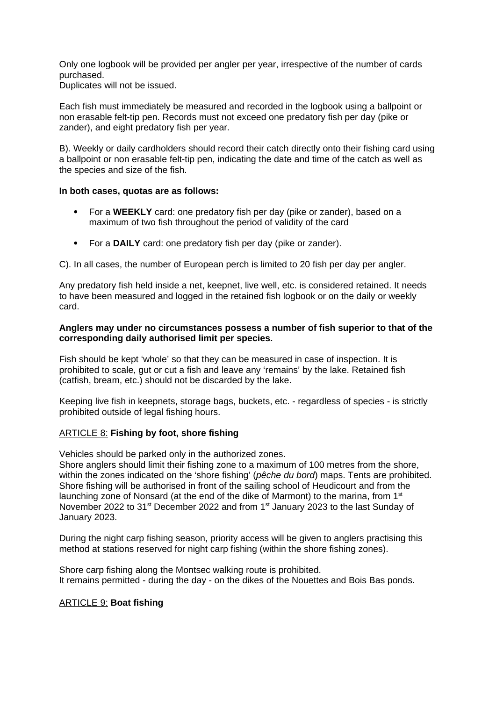Only one logbook will be provided per angler per year, irrespective of the number of cards purchased.

Duplicates will not be issued.

Each fish must immediately be measured and recorded in the logbook using a ballpoint or non erasable felt-tip pen. Records must not exceed one predatory fish per day (pike or zander), and eight predatory fish per year.

B). Weekly or daily cardholders should record their catch directly onto their fishing card using a ballpoint or non erasable felt-tip pen, indicating the date and time of the catch as well as the species and size of the fish.

### **In both cases, quotas are as follows:**

- For a **WEEKLY** card: one predatory fish per day (pike or zander), based on a maximum of two fish throughout the period of validity of the card
- For a **DAILY** card: one predatory fish per day (pike or zander).

C). In all cases, the number of European perch is limited to 20 fish per day per angler.

Any predatory fish held inside a net, keepnet, live well, etc. is considered retained. It needs to have been measured and logged in the retained fish logbook or on the daily or weekly card.

### **Anglers may under no circumstances possess a number of fish superior to that of the corresponding daily authorised limit per species.**

Fish should be kept 'whole' so that they can be measured in case of inspection. It is prohibited to scale, gut or cut a fish and leave any 'remains' by the lake. Retained fish (catfish, bream, etc.) should not be discarded by the lake.

Keeping live fish in keepnets, storage bags, buckets, etc. - regardless of species - is strictly prohibited outside of legal fishing hours.

## ARTICLE 8: **Fishing by foot, shore fishing**

Vehicles should be parked only in the authorized zones.

Shore anglers should limit their fishing zone to a maximum of 100 metres from the shore, within the zones indicated on the 'shore fishing' (*pêche du bord*) maps. Tents are prohibited. Shore fishing will be authorised in front of the sailing school of Heudicourt and from the launching zone of Nonsard (at the end of the dike of Marmont) to the marina, from  $1<sup>st</sup>$ November 2022 to 31st December 2022 and from  $1<sup>st</sup>$  January 2023 to the last Sunday of January 2023.

During the night carp fishing season, priority access will be given to anglers practising this method at stations reserved for night carp fishing (within the shore fishing zones).

Shore carp fishing along the Montsec walking route is prohibited. It remains permitted - during the day - on the dikes of the Nouettes and Bois Bas ponds.

#### ARTICLE 9: **Boat fishing**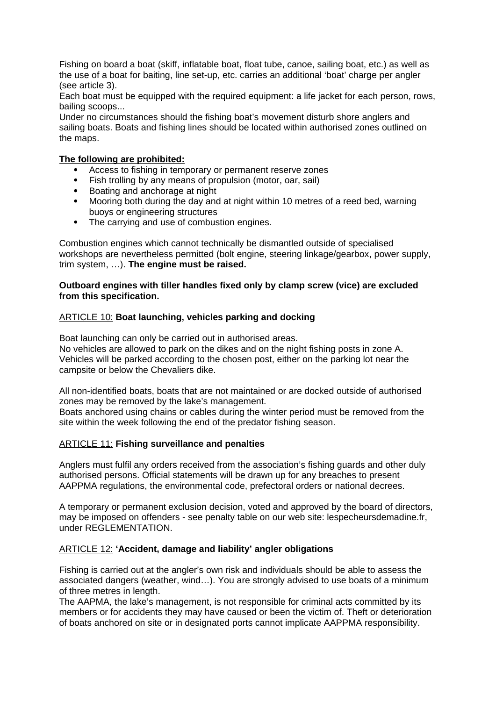Fishing on board a boat (skiff, inflatable boat, float tube, canoe, sailing boat, etc.) as well as the use of a boat for baiting, line set-up, etc. carries an additional 'boat' charge per angler (see article 3).

Each boat must be equipped with the required equipment: a life jacket for each person, rows, bailing scoops...

Under no circumstances should the fishing boat's movement disturb shore anglers and sailing boats. Boats and fishing lines should be located within authorised zones outlined on the maps.

## **The following are prohibited:**

- Access to fishing in temporary or permanent reserve zones
- Fish trolling by any means of propulsion (motor, oar, sail)
- Boating and anchorage at night
- Mooring both during the day and at night within 10 metres of a reed bed, warning buoys or engineering structures
- The carrying and use of combustion engines.

Combustion engines which cannot technically be dismantled outside of specialised workshops are nevertheless permitted (bolt engine, steering linkage/gearbox, power supply, trim system, …). **The engine must be raised.**

### **Outboard engines with tiller handles fixed only by clamp screw (vice) are excluded from this specification.**

### ARTICLE 10: **Boat launching, vehicles parking and docking**

Boat launching can only be carried out in authorised areas.

No vehicles are allowed to park on the dikes and on the night fishing posts in zone A. Vehicles will be parked according to the chosen post, either on the parking lot near the campsite or below the Chevaliers dike.

All non-identified boats, boats that are not maintained or are docked outside of authorised zones may be removed by the lake's management.

Boats anchored using chains or cables during the winter period must be removed from the site within the week following the end of the predator fishing season.

#### ARTICLE 11: **Fishing surveillance and penalties**

Anglers must fulfil any orders received from the association's fishing guards and other duly authorised persons. Official statements will be drawn up for any breaches to present AAPPMA regulations, the environmental code, prefectoral orders or national decrees.

A temporary or permanent exclusion decision, voted and approved by the board of directors, may be imposed on offenders - see penalty table on our web site: lespecheursdemadine.fr, under REGLEMENTATION.

#### ARTICLE 12: **'Accident, damage and liability' angler obligations**

Fishing is carried out at the angler's own risk and individuals should be able to assess the associated dangers (weather, wind…). You are strongly advised to use boats of a minimum of three metres in length.

The AAPMA, the lake's management, is not responsible for criminal acts committed by its members or for accidents they may have caused or been the victim of. Theft or deterioration of boats anchored on site or in designated ports cannot implicate AAPPMA responsibility.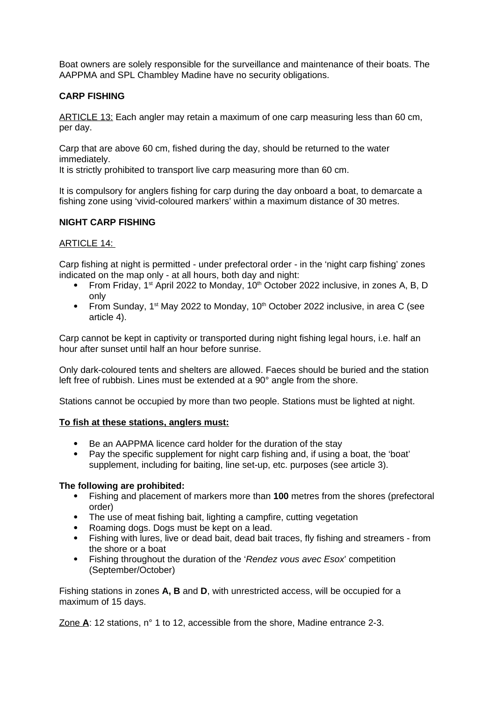Boat owners are solely responsible for the surveillance and maintenance of their boats. The AAPPMA and SPL Chambley Madine have no security obligations.

## **CARP FISHING**

ARTICLE 13: Each angler may retain a maximum of one carp measuring less than 60 cm, per day.

Carp that are above 60 cm, fished during the day, should be returned to the water immediately.

It is strictly prohibited to transport live carp measuring more than 60 cm.

It is compulsory for anglers fishing for carp during the day onboard a boat, to demarcate a fishing zone using 'vivid-coloured markers' within a maximum distance of 30 metres.

### **NIGHT CARP FISHING**

### ARTICLE 14:

Carp fishing at night is permitted - under prefectoral order - in the 'night carp fishing' zones indicated on the map only - at all hours, both day and night:

- From Friday,  $1^{st}$  April 2022 to Monday,  $10^{th}$  October 2022 inclusive, in zones A, B, D only
- From Sunday,  $1^{st}$  May 2022 to Monday,  $10^{th}$  October 2022 inclusive, in area C (see article 4).

Carp cannot be kept in captivity or transported during night fishing legal hours, i.e. half an hour after sunset until half an hour before sunrise.

Only dark-coloured tents and shelters are allowed. Faeces should be buried and the station left free of rubbish. Lines must be extended at a 90° angle from the shore.

Stations cannot be occupied by more than two people. Stations must be lighted at night.

#### **To fish at these stations, anglers must:**

- Be an AAPPMA licence card holder for the duration of the stay
- Pay the specific supplement for night carp fishing and, if using a boat, the 'boat' supplement, including for baiting, line set-up, etc. purposes (see article 3).

#### **The following are prohibited:**

- Fishing and placement of markers more than **100** metres from the shores (prefectoral order)
- The use of meat fishing bait, lighting a campfire, cutting vegetation
- Roaming dogs. Dogs must be kept on a lead.
- Fishing with lures, live or dead bait, dead bait traces, fly fishing and streamers from the shore or a boat
- Fishing throughout the duration of the '*Rendez vous avec Esox*' competition (September/October)

Fishing stations in zones **A, B** and **D**, with unrestricted access, will be occupied for a maximum of 15 days.

Zone **A**: 12 stations, n° 1 to 12, accessible from the shore, Madine entrance 2-3.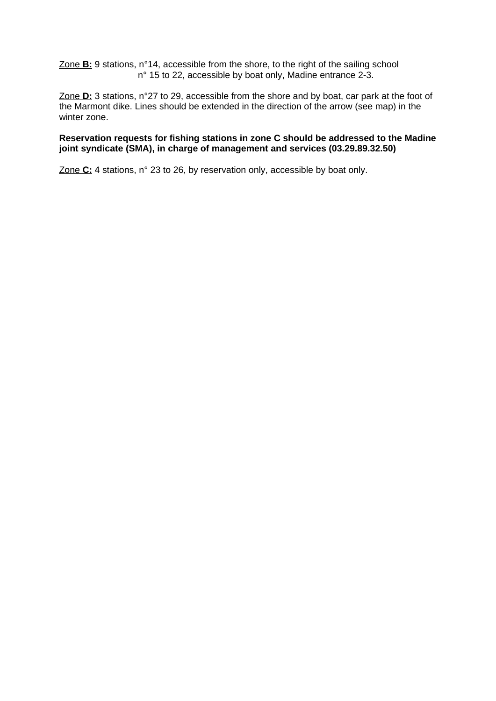Zone **B:** 9 stations, n°14, accessible from the shore, to the right of the sailing school n° 15 to 22, accessible by boat only, Madine entrance 2-3.

 Zone **D:** 3 stations, n°27 to 29, accessible from the shore and by boat, car park at the foot of the Marmont dike. Lines should be extended in the direction of the arrow (see map) in the winter zone.

### **Reservation requests for fishing stations in zone C should be addressed to the Madine joint syndicate (SMA), in charge of management and services (03.29.89.32.50)**

Zone **C:** 4 stations, n° 23 to 26, by reservation only, accessible by boat only.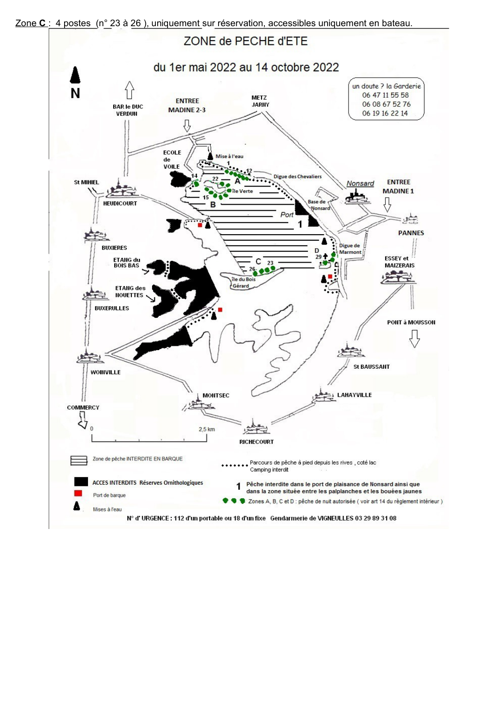